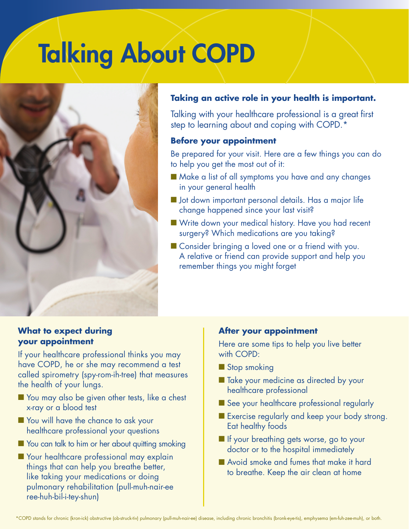## Talking About COPD



#### **Taking an active role in your health is important.**

Talking with your healthcare professional is a great first step to learning about and coping with COPD.\*

#### **Before your appointment**

Be prepared for your visit. Here are a few things you can do to help you get the most out of it:

- Make a list of all symptoms you have and any changes in your general health
- **n** Jot down important personal details. Has a major life change happened since your last visit?
- Write down your medical history. Have you had recent surgery? Which medications are you taking?
- Consider bringing a loved one or a friend with you. A relative or friend can provide support and help you remember things you might forget

#### **What to expect during your appointment**

If your healthcare professional thinks you may have COPD, he or she may recommend a test called spirometry (spy-rom-ih-tree) that measures the health of your lungs.

- You may also be given other tests, like a chest x-ray or a blood test
- **Nou will have the chance to ask your** healthcare professional your questions
- You can talk to him or her about quitting smoking
- **Nour healthcare professional may explain** things that can help you breathe better, like taking your medications or doing pulmonary rehabilitation (pull-muh-nair-ee ree-huh-bil-i-tey-shun)

#### **After your appointment**

Here are some tips to help you live better with COPD:

- Stop smoking
- Take your medicine as directed by your healthcare professional
- See your healthcare professional regularly
- Exercise regularly and keep your body strong. Eat healthy foods
- **n** If your breathing gets worse, go to your doctor or to the hospital immediately
- n Avoid smoke and fumes that make it hard to breathe. Keep the air clean at home